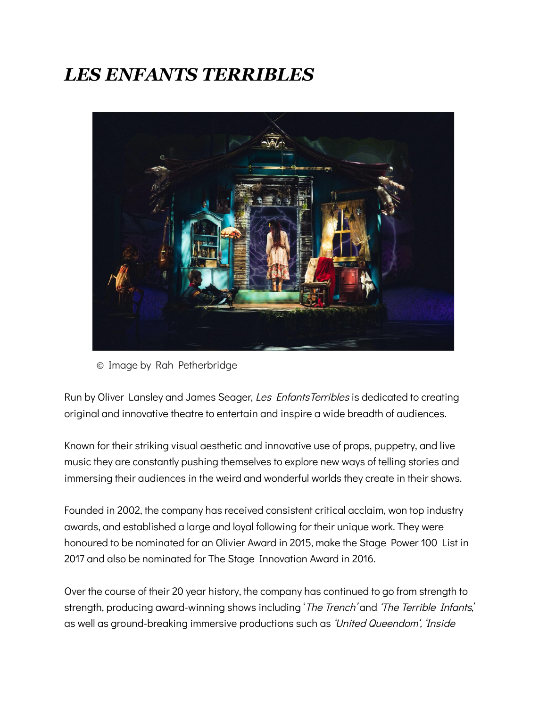## *LES ENFANTS TERRIBLES*



© Image by Rah Petherbridge

Run by Oliver Lansley and James Seager, Les EnfantsTerribles is dedicated to creating original and innovative theatre to entertain and inspire a wide breadth of audiences.

Known for their striking visual aesthetic and innovative use of props, puppetry, and live music they are constantly pushing themselves to explore new ways of telling stories and immersing their audiences in the weird and wonderful worlds they create in their shows.

Founded in 2002, the company has received consistent critical acclaim, won top industry awards, and established a large and loyal following for their unique work. They were honoured to be nominated for an Olivier Award in 2015, make the Stage Power 100 List in 2017 and also be nominated for The Stage Innovation Award in 2016.

Over the course of their 20 year history, the company has continued to go from strength to strength, producing award-winning shows including 'The Trench' and 'The Terrible Infants,' as well as ground-breaking immersive productions such as 'United Queendom', 'Inside